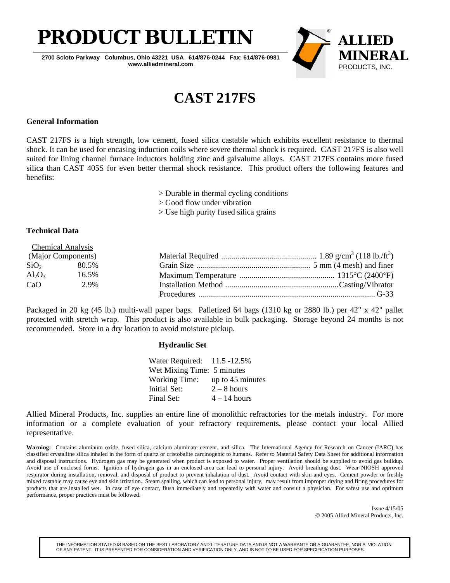

**2700 Scioto Parkway Columbus, Ohio 43221 USA 614/876-0244 Fax: 614/876-0981 www.alliedmineral.com**



## **CAST 217FS**

### **General Information**

CAST 217FS is a high strength, low cement, fused silica castable which exhibits excellent resistance to thermal shock. It can be used for encasing induction coils where severe thermal shock is required. CAST 217FS is also well suited for lining channel furnace inductors holding zinc and galvalume alloys. CAST 217FS contains more fused silica than CAST 405S for even better thermal shock resistance. This product offers the following features and benefits:

> Durable in thermal cycling conditions

> Good flow under vibration

> Use high purity fused silica grains

### **Technical Data**

|                    | <b>Chemical Analysis</b> |  |
|--------------------|--------------------------|--|
| (Major Components) |                          |  |
|                    | $SiO2$ 80.5%             |  |
| $Al_2O_3$          | 16.5%                    |  |
| CaO                | 2.9%                     |  |
|                    |                          |  |

Packaged in 20 kg (45 lb.) multi-wall paper bags. Palletized 64 bags (1310 kg or 2880 lb.) per 42" x 42" pallet protected with stretch wrap. This product is also available in bulk packaging. Storage beyond 24 months is not recommended. Store in a dry location to avoid moisture pickup.

#### **Hydraulic Set**

| Water Required: 11.5 -12.5% |                  |
|-----------------------------|------------------|
| Wet Mixing Time: 5 minutes  |                  |
| <b>Working Time:</b>        | up to 45 minutes |
| <b>Initial Set:</b>         | $2 - 8$ hours    |
| Final Set:                  | $4 - 14$ hours   |

Allied Mineral Products, Inc. supplies an entire line of monolithic refractories for the metals industry. For more information or a complete evaluation of your refractory requirements, please contact your local Allied representative.

**Warning:** Contains aluminum oxide, fused silica, calcium aluminate cement, and silica. The International Agency for Research on Cancer (IARC) has classified crystalline silica inhaled in the form of quartz or cristobalite carcinogenic to humans. Refer to Material Safety Data Sheet for additional information and disposal instructions. Hydrogen gas may be generated when product is exposed to water. Proper ventilation should be supplied to avoid gas buildup. Avoid use of enclosed forms. Ignition of hydrogen gas in an enclosed area can lead to personal injury. Avoid breathing dust. Wear NIOSH approved respirator during installation, removal, and disposal of product to prevent inhalation of dust. Avoid contact with skin and eyes. Cement powder or freshly mixed castable may cause eye and skin irritation. Steam spalling, which can lead to personal injury, may result from improper drying and firing procedures for products that are installed wet. In case of eye contact, flush immediately and repeatedly with water and consult a physician. For safest use and optimum performance, proper practices must be followed.

> Issue 4/15/05 © 2005 Allied Mineral Products, Inc.

THE INFORMATION STATED IS BASED ON THE BEST LABORATORY AND LITERATURE DATA AND IS NOT A WARRANTY OR A GUARANTEE, NOR A VIOLATION OF ANY PATENT. IT IS PRESENTED FOR CONSIDERATION AND VERIFICATION ONLY, AND IS NOT TO BE USED FOR SPECIFICATION PURPOSES.